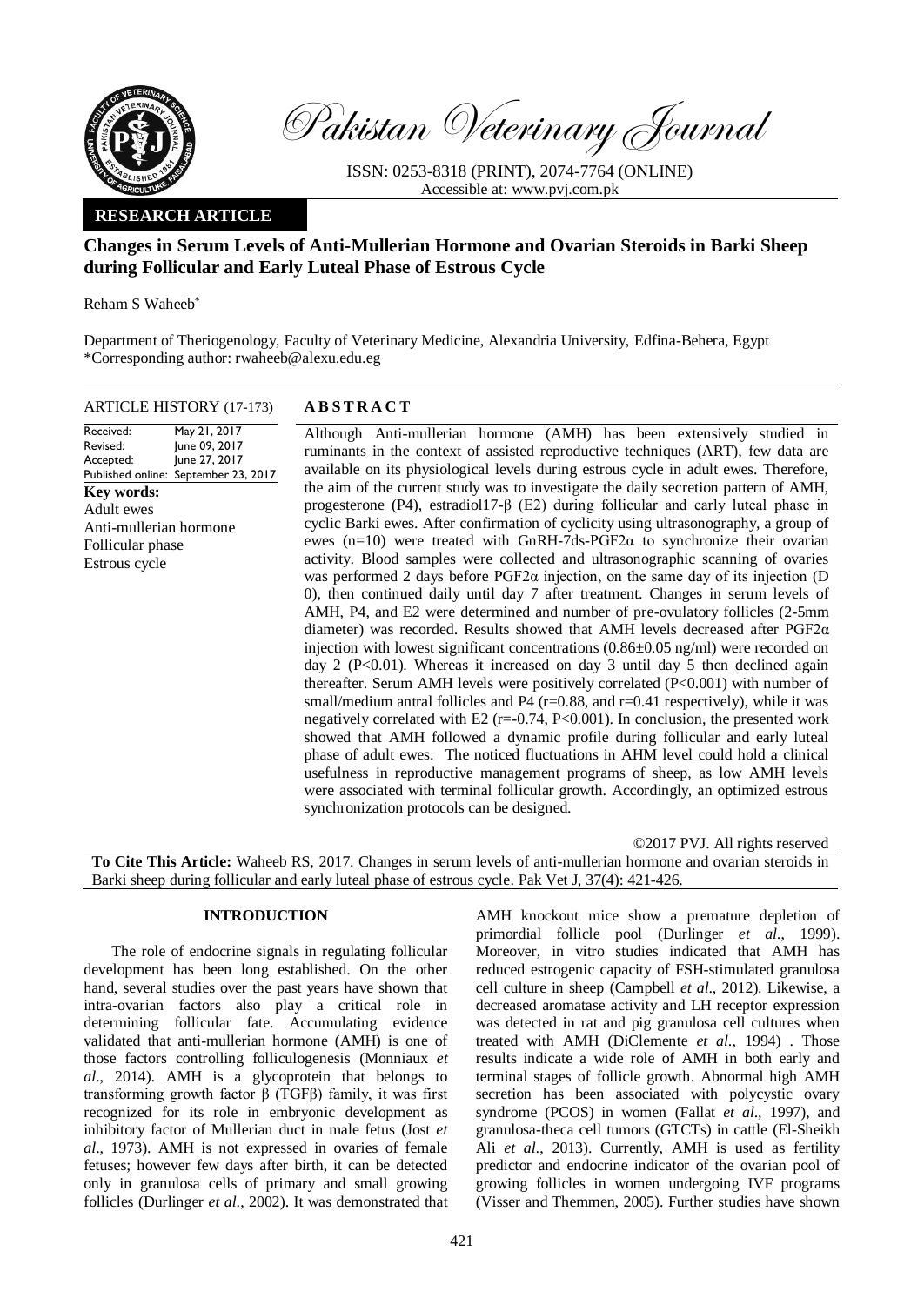

Pakistan Veterinary Journal

ISSN: 0253-8318 (PRINT), 2074-7764 (ONLINE) Accessible at: [www.pvj.com.pk](http://www.pvj.com.pk/)

## **RESEARCH ARTICLE**

# **Changes in Serum Levels of Anti-Mullerian Hormone and Ovarian Steroids in Barki Sheep during Follicular and Early Luteal Phase of Estrous Cycle**

Reham S Waheeb\*

Department of Theriogenology, Faculty of Veterinary Medicine, Alexandria University, Edfina-Behera, Egypt \*Corresponding author: rwaheeb@alexu.edu.eg

# ARTICLE HISTORY (17-173) **A B S T R A C T**

Received: Revised: Accepted: Published online: September 23, 2017 May 21, 2017 June 09, 2017 June 27, 2017 **Key words:**  Adult ewes Anti-mullerian hormone Follicular phase Estrous cycle

Although Anti-mullerian hormone (AMH) has been extensively studied in ruminants in the context of assisted reproductive techniques (ART), few data are available on its physiological levels during estrous cycle in adult ewes. Therefore, the aim of the current study was to investigate the daily secretion pattern of AMH, progesterone (P4), estradiol17-β (E2) during follicular and early luteal phase in cyclic Barki ewes. After confirmation of cyclicity using ultrasonography, a group of ewes (n=10) were treated with GnRH-7ds-PGF2 $\alpha$  to synchronize their ovarian activity. Blood samples were collected and ultrasonographic scanning of ovaries was performed 2 days before  $PGF2\alpha$  injection, on the same day of its injection (D 0), then continued daily until day 7 after treatment. Changes in serum levels of AMH, P4, and E2 were determined and number of pre-ovulatory follicles (2-5mm diameter) was recorded. Results showed that AMH levels decreased after  $PGF2\alpha$ injection with lowest significant concentrations  $(0.86\pm0.05 \text{ ng/ml})$  were recorded on day 2 (P<0.01). Whereas it increased on day 3 until day 5 then declined again thereafter. Serum AMH levels were positively correlated (P<0.001) with number of small/medium antral follicles and P4 (r=0.88, and r=0.41 respectively), while it was negatively correlated with E2 (r=-0.74, P<0.001). In conclusion, the presented work showed that AMH followed a dynamic profile during follicular and early luteal phase of adult ewes. The noticed fluctuations in AHM level could hold a clinical usefulness in reproductive management programs of sheep, as low AMH levels were associated with terminal follicular growth. Accordingly, an optimized estrous synchronization protocols can be designed.

©2017 PVJ. All rights reserved **To Cite This Article:** Waheeb RS, 2017. Changes in serum levels of anti-mullerian hormone and ovarian steroids in Barki sheep during follicular and early luteal phase of estrous cycle. Pak Vet J, 37(4): 421-426.

## **INTRODUCTION**

The role of endocrine signals in regulating follicular development has been long established. On the other hand, several studies over the past years have shown that intra-ovarian factors also play a critical role in determining follicular fate. Accumulating evidence validated that anti-mullerian hormone (AMH) is one of those factors controlling folliculogenesis [\(Monniaux](#page-4-0) *et al*[., 2014\)](#page-4-0). AMH is a glycoprotein that belongs to transforming growth factor β (TGFβ) family, it was first recognized for its role in embryonic development as inhibitory factor of Mullerian duct in male fetus [\(Jost](#page-4-1) *et al*[., 1973\)](#page-4-1). AMH is not expressed in ovaries of female fetuses; however few days after birth, it can be detected only in granulosa cells of primary and small growing follicles [\(Durlinger](#page-4-2) *et al*., 2002). It was demonstrated that

AMH knockout mice show a premature depletion of primordial follicle pool [\(Durlinger](#page-4-3) *et al*., 1999). Moreover, in vitro studies indicated that AMH has reduced estrogenic capacity of FSH-stimulated granulosa cell culture in sheep [\(Campbell](#page-4-4) *et al*., 2012). Likewise, a decreased aromatase activity and LH receptor expression was detected in rat and pig granulosa cell cultures when treated with AMH [\(DiClemente](#page-4-5) *et al*., 1994) . Those results indicate a wide role of AMH in both early and terminal stages of follicle growth. Abnormal high AMH secretion has been associated with polycystic ovary syndrome (PCOS) in women (Fallat *et al*[., 1997\)](#page-4-6), and granulosa-theca cell tumors (GTCTs) in cattle [\(El-Sheikh](#page-4-7)  Ali *et al*[., 2013\)](#page-4-7). Currently, AMH is used as fertility predictor and endocrine indicator of the ovarian pool of growing follicles in women undergoing IVF programs [\(Visser and Themmen, 2005\)](#page-5-0). Further studies have shown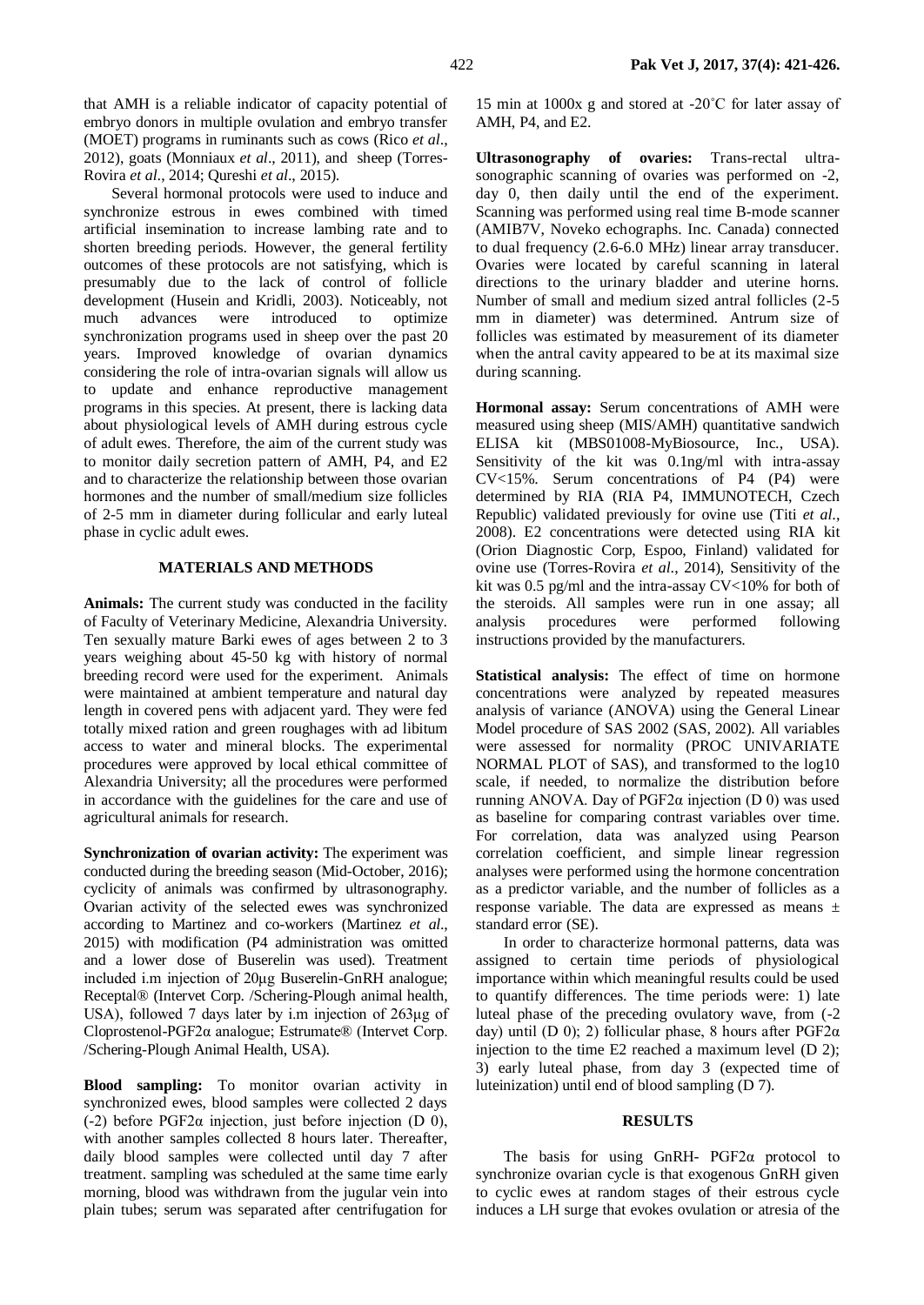that AMH is a reliable indicator of capacity potential of embryo donors in multiple ovulation and embryo transfer (MOET) programs in ruminants such as cows [\(Rico](#page-4-8) *et al*., [2012\)](#page-4-8), goats [\(Monniaux](#page-4-9) *et al*., 2011), and sheep [\(Torres-](#page-5-1)[Rovira](#page-5-1) *et al*., 2014; Qureshi *et al*., 2015).

Several hormonal protocols were used to induce and synchronize estrous in ewes combined with timed artificial insemination to increase lambing rate and to shorten breeding periods. However, the general fertility outcomes of these protocols are not satisfying, which is presumably due to the lack of control of follicle development [\(Husein and Kridli, 2003\)](#page-4-10). Noticeably, not much advances were introduced to optimize synchronization programs used in sheep over the past 20 years. Improved knowledge of ovarian dynamics considering the role of intra-ovarian signals will allow us to update and enhance reproductive management programs in this species. At present, there is lacking data about physiological levels of AMH during estrous cycle of adult ewes. Therefore, the aim of the current study was to monitor daily secretion pattern of AMH, P4, and E2 and to characterize the relationship between those ovarian hormones and the number of small/medium size follicles of 2-5 mm in diameter during follicular and early luteal phase in cyclic adult ewes.

## **MATERIALS AND METHODS**

**Animals:** The current study was conducted in the facility of Faculty of Veterinary Medicine, Alexandria University. Ten sexually mature Barki ewes of ages between 2 to 3 years weighing about 45-50 kg with history of normal breeding record were used for the experiment. Animals were maintained at ambient temperature and natural day length in covered pens with adjacent yard. They were fed totally mixed ration and green roughages with ad libitum access to water and mineral blocks. The experimental procedures were approved by local ethical committee of Alexandria University; all the procedures were performed in accordance with the guidelines for the care and use of agricultural animals for research.

**Synchronization of ovarian activity:** The experiment was conducted during the breeding season (Mid-October, 2016); cyclicity of animals was confirmed by ultrasonography. Ovarian activity of the selected ewes was synchronized according to Martinez and co-workers [\(Martinez](#page-4-11) *et al*., [2015\)](#page-4-11) with modification (P4 administration was omitted and a lower dose of Buserelin was used). Treatment included i.m injection of 20μg Buserelin-GnRH analogue; Receptal® (Intervet Corp. /Schering-Plough animal health, USA), followed 7 days later by i.m injection of 263μg of Cloprostenol-PGF2α analogue; Estrumate® (Intervet Corp. /Schering-Plough Animal Health, USA).

**Blood sampling:** To monitor ovarian activity in synchronized ewes, blood samples were collected 2 days (-2) before PGF2α injection, just before injection (D 0), with another samples collected 8 hours later. Thereafter, daily blood samples were collected until day 7 after treatment. sampling was scheduled at the same time early morning, blood was withdrawn from the jugular vein into plain tubes; serum was separated after centrifugation for

15 min at 1000x g and stored at -20˚C for later assay of AMH, P4, and E2.

**Ultrasonography of ovaries:** Trans-rectal ultrasonographic scanning of ovaries was performed on -2, day 0, then daily until the end of the experiment. Scanning was performed using real time B-mode scanner (AMIB7V, Noveko echographs. Inc. Canada) connected to dual frequency (2.6-6.0 MHz) linear array transducer. Ovaries were located by careful scanning in lateral directions to the urinary bladder and uterine horns. Number of small and medium sized antral follicles (2-5 mm in diameter) was determined. Antrum size of follicles was estimated by measurement of its diameter when the antral cavity appeared to be at its maximal size during scanning.

**Hormonal assay:** Serum concentrations of AMH were measured using sheep (MIS/AMH) quantitative sandwich ELISA kit (MBS01008-MyBiosource, Inc., USA). Sensitivity of the kit was 0.1ng/ml with intra-assay CV<15%. Serum concentrations of P4 (P4) were determined by RIA (RIA P4, IMMUNOTECH, Czech Republic) validated previously for ovine use [\(Titi](#page-5-2) *et al*., [2008\)](#page-5-2). E2 concentrations were detected using RIA kit (Orion Diagnostic Corp, Espoo, Finland) validated for ovine use [\(Torres-Rovira](#page-5-1) *et al*., 2014), Sensitivity of the kit was 0.5 pg/ml and the intra-assay CV<10% for both of the steroids. All samples were run in one assay; all analysis procedures were performed following instructions provided by the manufacturers.

**Statistical analysis:** The effect of time on hormone concentrations were analyzed by repeated measures analysis of variance (ANOVA) using the General Linear Model procedure of SAS 2002 [\(SAS, 2002\)](#page-5-3). All variables were assessed for normality (PROC UNIVARIATE NORMAL PLOT of SAS), and transformed to the log10 scale, if needed, to normalize the distribution before running ANOVA. Day of PGF2 $α$  injection (D 0) was used as baseline for comparing contrast variables over time. For correlation, data was analyzed using Pearson correlation coefficient, and simple linear regression analyses were performed using the hormone concentration as a predictor variable, and the number of follicles as a response variable. The data are expressed as means ± standard error (SE).

In order to characterize hormonal patterns, data was assigned to certain time periods of physiological importance within which meaningful results could be used to quantify differences. The time periods were: 1) late luteal phase of the preceding ovulatory wave, from (-2 day) until (D 0); 2) follicular phase, 8 hours after  $PGF2\alpha$ injection to the time E2 reached a maximum level (D 2); 3) early luteal phase, from day 3 (expected time of luteinization) until end of blood sampling (D 7).

### **RESULTS**

The basis for using GnRH- PGF2α protocol to synchronize ovarian cycle is that exogenous GnRH given to cyclic ewes at random stages of their estrous cycle induces a LH surge that evokes ovulation or atresia of the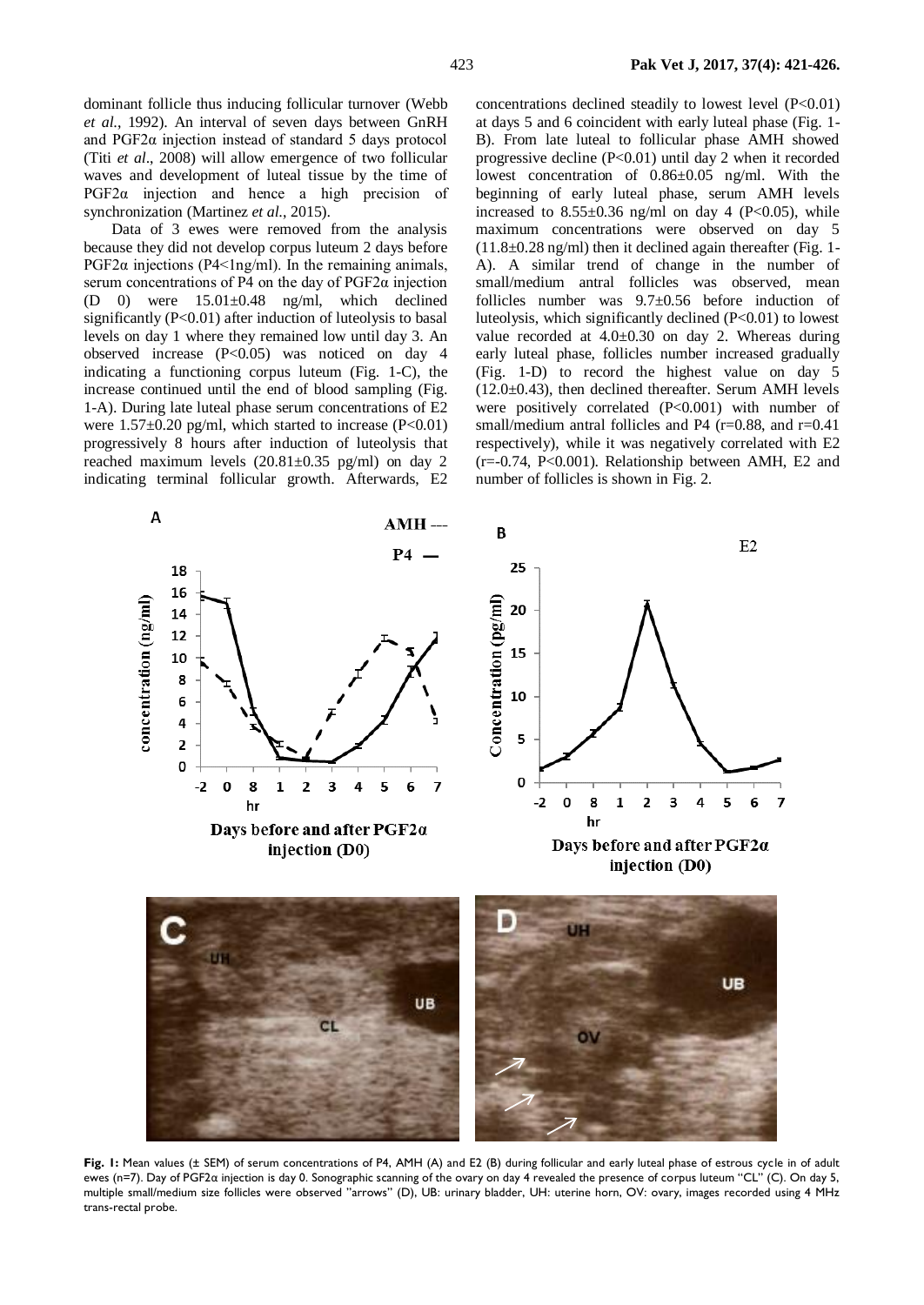dominant follicle thus inducing follicular turnover [\(Webb](#page-5-4)  *et al*[., 1992\)](#page-5-4). An interval of seven days between GnRH and PGF2α injection instead of standard 5 days protocol (Titi *et al*[., 2008\)](#page-5-2) will allow emergence of two follicular waves and development of luteal tissue by the time of PGF2α injection and hence a high precision of synchronization [\(Martinez](#page-4-11) *et al*., 2015).

Data of 3 ewes were removed from the analysis because they did not develop corpus luteum 2 days before PGF2 $\alpha$  injections (P4<1ng/ml). In the remaining animals, serum concentrations of P4 on the day of PGF2α injection  $(D \t 0)$  were  $15.01 \pm 0.48$  ng/ml, which declined significantly  $(P<0.01)$  after induction of luteolysis to basal levels on day 1 where they remained low until day 3. An observed increase (P<0.05) was noticed on day 4 indicating a functioning corpus luteum (Fig. 1-C), the increase continued until the end of blood sampling (Fig. 1-A). During late luteal phase serum concentrations of E2 were  $1.57\pm0.20$  pg/ml, which started to increase (P<0.01) progressively 8 hours after induction of luteolysis that reached maximum levels  $(20.81 \pm 0.35 \text{ pg/ml})$  on day 2 indicating terminal follicular growth. Afterwards, E2

concentrations declined steadily to lowest level (P<0.01) at days 5 and 6 coincident with early luteal phase (Fig. 1- B). From late luteal to follicular phase AMH showed progressive decline (P<0.01) until day 2 when it recorded lowest concentration of 0.86±0.05 ng/ml. With the beginning of early luteal phase, serum AMH levels increased to  $8.55\pm0.36$  ng/ml on day 4 (P<0.05), while maximum concentrations were observed on day 5  $(11.8\pm0.28 \text{ ng/ml})$  then it declined again thereafter (Fig. 1-A). A similar trend of change in the number of small/medium antral follicles was observed, mean follicles number was 9.7±0.56 before induction of luteolysis, which significantly declined (P<0.01) to lowest value recorded at 4.0±0.30 on day 2. Whereas during early luteal phase, follicles number increased gradually (Fig. 1-D) to record the highest value on day 5  $(12.0\pm0.43)$ , then declined thereafter. Serum AMH levels were positively correlated (P<0.001) with number of small/medium antral follicles and P4 ( $r=0.88$ , and  $r=0.41$ ) respectively), while it was negatively correlated with E2 (r=-0.74, P<0.001). Relationship between AMH, E2 and number of follicles is shown in Fig. 2.



**Fig. 1:** Mean values (± SEM) of serum concentrations of P4, AMH (A) and E2 (B) during follicular and early luteal phase of estrous cycle in of adult ewes (n=7). Day of PGF2α injection is day 0. Sonographic scanning of the ovary on day 4 revealed the presence of corpus luteum "CL" (C). On day 5, multiple small/medium size follicles were observed "arrows" (D), UB: urinary bladder, UH: uterine horn, OV: ovary, images recorded using 4 MHz trans-rectal probe.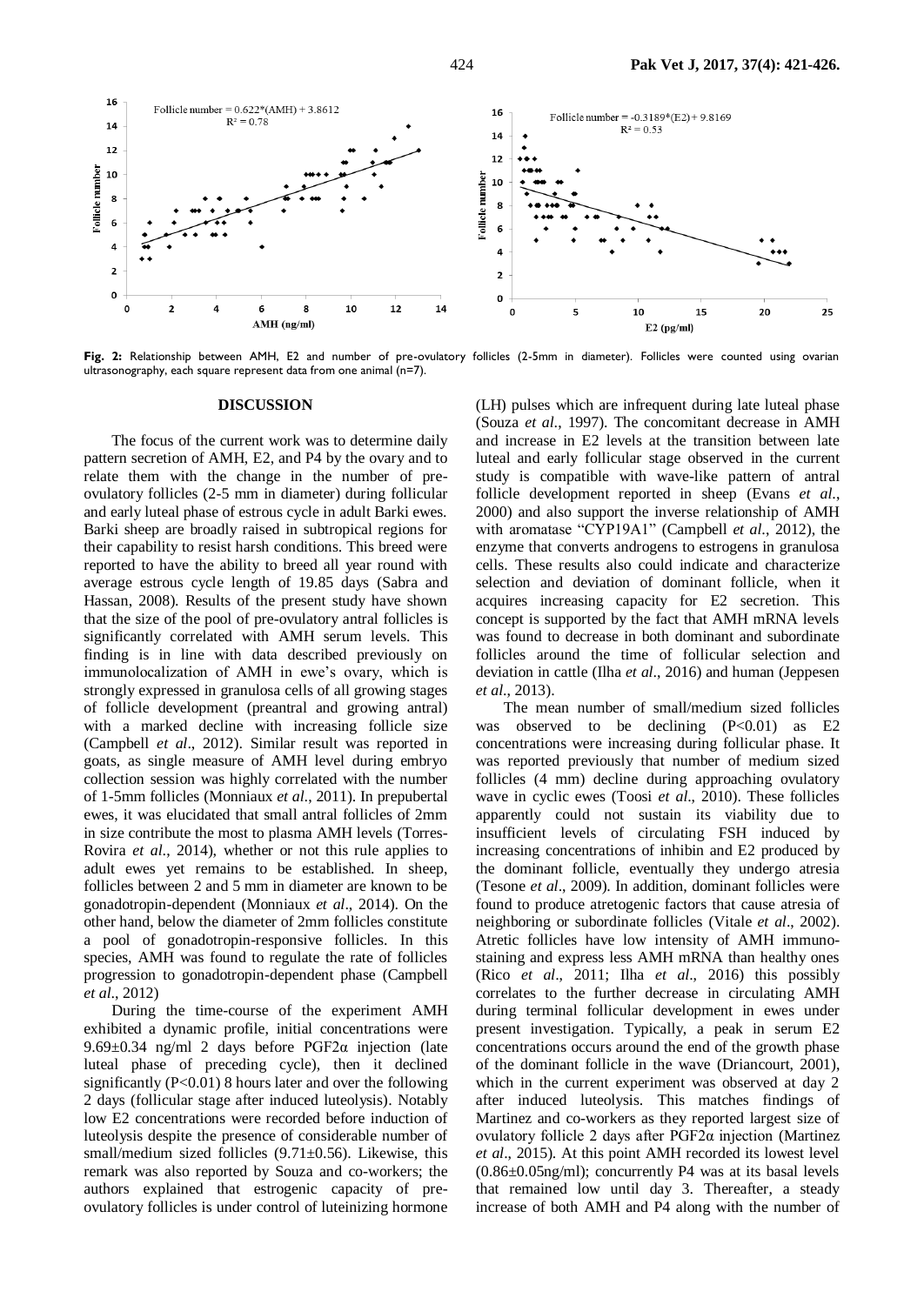

Fig. 2: Relationship between AMH, E2 and number of pre-ovulatory follicles (2-5mm in diameter). Follicles were counted using ovarian ultrasonography, each square represent data from one animal (n=7).

#### **DISCUSSION**

The focus of the current work was to determine daily pattern secretion of AMH, E2, and P4 by the ovary and to relate them with the change in the number of preovulatory follicles (2-5 mm in diameter) during follicular and early luteal phase of estrous cycle in adult Barki ewes. Barki sheep are broadly raised in subtropical regions for their capability to resist harsh conditions. This breed were reported to have the ability to breed all year round with average estrous cycle length of 19.85 days [\(Sabra and](#page-5-5)  [Hassan, 2008\)](#page-5-5). Results of the present study have shown that the size of the pool of pre-ovulatory antral follicles is significantly correlated with AMH serum levels. This finding is in line with data described previously on immunolocalization of AMH in ewe's ovary, which is strongly expressed in granulosa cells of all growing stages of follicle development (preantral and growing antral) with a marked decline with increasing follicle size [\(Campbell](#page-4-4) *et al*., 2012). Similar result was reported in goats, as single measure of AMH level during embryo collection session was highly correlated with the number of 1-5mm follicles [\(Monniaux](#page-4-9) *et al*., 2011). In prepubertal ewes, it was elucidated that small antral follicles of 2mm in size contribute the most to plasma AMH levels [\(Torres-](#page-5-1)Rovira *et al*[., 2014\)](#page-5-1), whether or not this rule applies to adult ewes yet remains to be established. In sheep, follicles between 2 and 5 mm in diameter are known to be gonadotropin-dependent [\(Monniaux](#page-4-0) *et al*., 2014). On the other hand, below the diameter of 2mm follicles constitute a pool of gonadotropin-responsive follicles. In this species, AMH was found to regulate the rate of follicles progression to gonadotropin-dependent phase [\(Campbell](#page-4-4)  *et al*[., 2012\)](#page-4-4)

During the time-course of the experiment AMH exhibited a dynamic profile, initial concentrations were 9.69±0.34 ng/ml 2 days before PGF2α injection (late luteal phase of preceding cycle), then it declined significantly  $(P<0.01)$  8 hours later and over the following 2 days (follicular stage after induced luteolysis). Notably low E2 concentrations were recorded before induction of luteolysis despite the presence of considerable number of small/medium sized follicles  $(9.71 \pm 0.56)$ . Likewise, this remark was also reported by Souza and co-workers; the authors explained that estrogenic capacity of preovulatory follicles is under control of luteinizing hormone

(LH) pulses which are infrequent during late luteal phase (Souza *et al*[., 1997\)](#page-5-6). The concomitant decrease in AMH and increase in E2 levels at the transition between late luteal and early follicular stage observed in the current study is compatible with wave-like pattern of antral follicle development reported in sheep [\(Evans](#page-4-12) *et al*., [2000\)](#page-4-12) and also support the inverse relationship of AMH with aromatase "CYP19A1" [\(Campbell](#page-4-4) *et al*., 2012), the enzyme that converts androgens to estrogens in granulosa cells. These results also could indicate and characterize selection and deviation of dominant follicle, when it acquires increasing capacity for E2 secretion. This concept is supported by the fact that AMH mRNA levels was found to decrease in both dominant and subordinate follicles around the time of follicular selection and deviation in cattle (Ilha *et al*[., 2016\)](#page-4-13) and human [\(Jeppesen](#page-4-14)  *et al*[., 2013\)](#page-4-14).

The mean number of small/medium sized follicles was observed to be declining  $(P<0.01)$  as E2 concentrations were increasing during follicular phase. It was reported previously that number of medium sized follicles (4 mm) decline during approaching ovulatory wave in cyclic ewes (Toosi *et al*[., 2010\)](#page-5-7). These follicles apparently could not sustain its viability due to insufficient levels of circulating FSH induced by increasing concentrations of inhibin and E2 produced by the dominant follicle, eventually they undergo atresia [\(Tesone](#page-5-8) *et al*., 2009). In addition, dominant follicles were found to produce atretogenic factors that cause atresia of neighboring or subordinate follicles (Vitale *et al*[., 2002\)](#page-5-9). Atretic follicles have low intensity of AMH immunostaining and express less AMH mRNA than healthy ones (Rico *et al*[., 2011;](#page-4-15) Ilha *et al*[., 2016\)](#page-4-13) this possibly correlates to the further decrease in circulating AMH during terminal follicular development in ewes under present investigation. Typically, a peak in serum E2 concentrations occurs around the end of the growth phase of the dominant follicle in the wave [\(Driancourt, 2001\)](#page-4-16), which in the current experiment was observed at day 2 after induced luteolysis. This matches findings of Martinez and co-workers as they reported largest size of ovulatory follicle 2 days after PGF2α injection [\(Martinez](#page-4-11)  *et al*[., 2015\)](#page-4-11). At this point AMH recorded its lowest level (0.86±0.05ng/ml); concurrently P4 was at its basal levels that remained low until day 3. Thereafter, a steady increase of both AMH and P4 along with the number of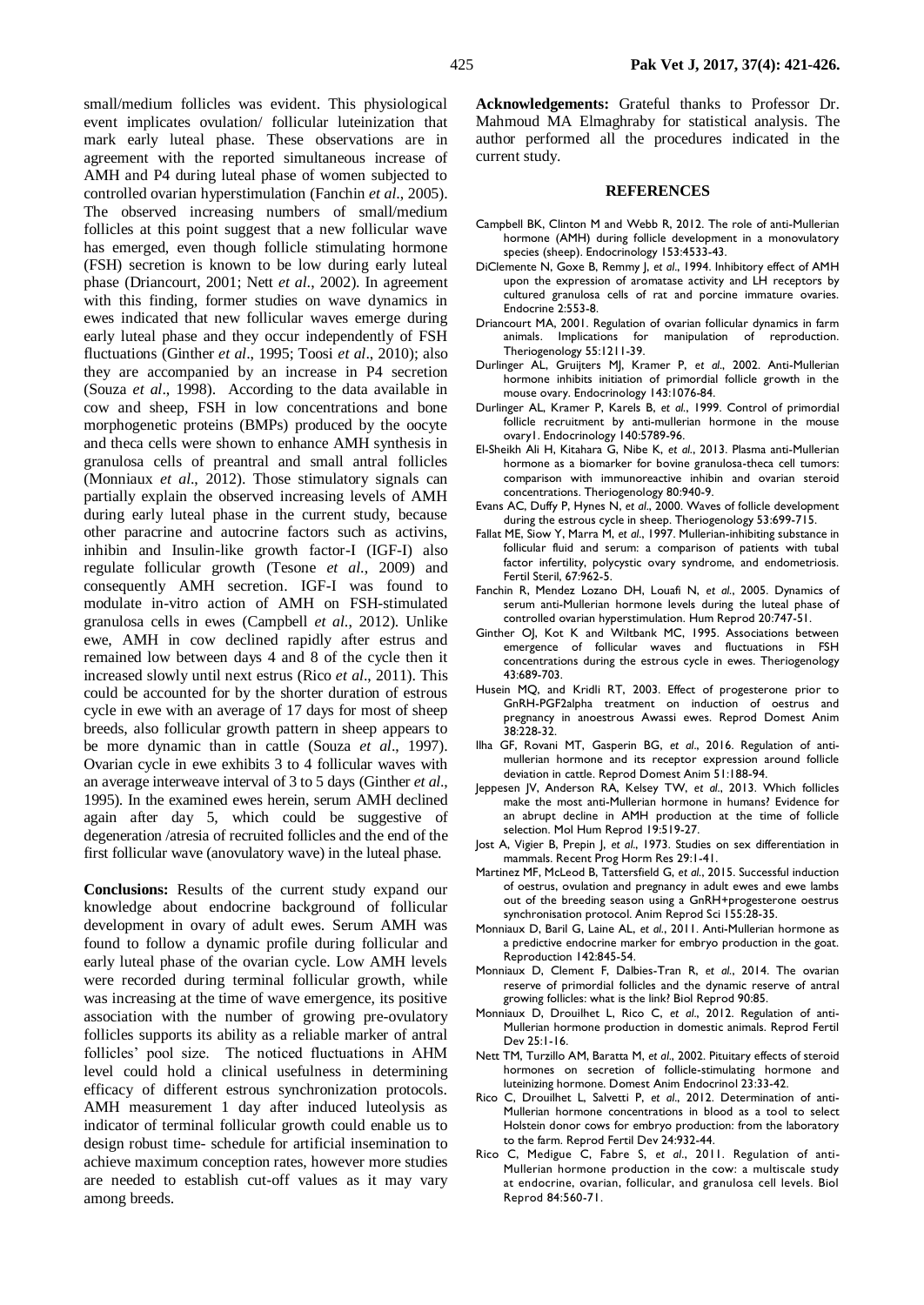small/medium follicles was evident. This physiological event implicates ovulation/ follicular luteinization that mark early luteal phase. These observations are in agreement with the reported simultaneous increase of AMH and P4 during luteal phase of women subjected to controlled ovarian hyperstimulation [\(Fanchin](#page-4-17) *et al*., 2005). The observed increasing numbers of small/medium follicles at this point suggest that a new follicular wave has emerged, even though follicle stimulating hormone (FSH) secretion is known to be low during early luteal phase [\(Driancourt, 2001;](#page-4-16) Nett *et al*[., 2002\)](#page-4-18). In agreement with this finding, former studies on wave dynamics in ewes indicated that new follicular waves emerge during early luteal phase and they occur independently of FSH fluctuations [\(Ginther](#page-4-19) *et al*., 1995; Toosi *et al*[., 2010\)](#page-5-7); also they are accompanied by an increase in P4 secretion (Souza *et al*[., 1998\)](#page-5-10). According to the data available in cow and sheep, FSH in low concentrations and bone morphogenetic proteins (BMPs) produced by the oocyte and theca cells were shown to enhance AMH synthesis in granulosa cells of preantral and small antral follicles [\(Monniaux](#page-4-20) *et al*., 2012). Those stimulatory signals can partially explain the observed increasing levels of AMH during early luteal phase in the current study, because other paracrine and autocrine factors such as activins, inhibin and Insulin-like growth factor-I (IGF-I) also regulate follicular growth (Tesone *et al*[., 2009\)](#page-5-8) and consequently AMH secretion. IGF-I was found to modulate in-vitro action of AMH on FSH-stimulated granulosa cells in ewes [\(Campbell](#page-4-4) *et al*., 2012). Unlike ewe, AMH in cow declined rapidly after estrus and remained low between days 4 and 8 of the cycle then it increased slowly until next estrus (Rico *et al*[., 2011\)](#page-4-15). This could be accounted for by the shorter duration of estrous cycle in ewe with an average of 17 days for most of sheep breeds, also follicular growth pattern in sheep appears to be more dynamic than in cattle [\(Souza](#page-5-6) *et al*., 1997). Ovarian cycle in ewe exhibits 3 to 4 follicular waves with

an average interweave interval of 3 to 5 days [\(Ginther](#page-4-19) *et al*., [1995\)](#page-4-19). In the examined ewes herein, serum AMH declined again after day 5, which could be suggestive of degeneration /atresia of recruited follicles and the end of the first follicular wave (anovulatory wave) in the luteal phase.

**Conclusions:** Results of the current study expand our knowledge about endocrine background of follicular development in ovary of adult ewes. Serum AMH was found to follow a dynamic profile during follicular and early luteal phase of the ovarian cycle. Low AMH levels were recorded during terminal follicular growth, while was increasing at the time of wave emergence, its positive association with the number of growing pre-ovulatory follicles supports its ability as a reliable marker of antral follicles' pool size. The noticed fluctuations in AHM level could hold a clinical usefulness in determining efficacy of different estrous synchronization protocols. AMH measurement 1 day after induced luteolysis as indicator of terminal follicular growth could enable us to design robust time- schedule for artificial insemination to achieve maximum conception rates, however more studies are needed to establish cut-off values as it may vary among breeds.

**Acknowledgements:** Grateful thanks to Professor Dr. Mahmoud MA Elmaghraby for statistical analysis. The author performed all the procedures indicated in the current study.

#### **REFERENCES**

- <span id="page-4-4"></span>Campbell BK, Clinton M and Webb R, 2012. The role of anti-Mullerian hormone (AMH) during follicle development in a monovulatory species (sheep). Endocrinology 153:4533-43.
- <span id="page-4-5"></span>DiClemente N, Goxe B, Remmy J, *et al*., 1994. Inhibitory effect of AMH upon the expression of aromatase activity and LH receptors by cultured granulosa cells of rat and porcine immature ovaries. Endocrine 2:553-8.
- <span id="page-4-16"></span>Driancourt MA, 2001. Regulation of ovarian follicular dynamics in farm animals. Implications for manipulation of reproduction. Theriogenology 55:1211-39.
- <span id="page-4-2"></span>Durlinger AL, Gruijters MJ, Kramer P, *et al*., 2002. Anti-Mullerian hormone inhibits initiation of primordial follicle growth in the mouse ovary. Endocrinology 143:1076-84.
- <span id="page-4-3"></span>Durlinger AL, Kramer P, Karels B, *et al*., 1999. Control of primordial follicle recruitment by anti-mullerian hormone in the mouse ovary1. Endocrinology 140:5789-96.
- <span id="page-4-7"></span>El-Sheikh Ali H, Kitahara G, Nibe K, *et al*., 2013. Plasma anti-Mullerian hormone as a biomarker for bovine granulosa-theca cell tumors: comparison with immunoreactive inhibin and ovarian steroid concentrations. Theriogenology 80:940-9.
- <span id="page-4-12"></span>Evans AC, Duffy P, Hynes N, *et al*., 2000. Waves of follicle development during the estrous cycle in sheep. Theriogenology 53:699-715.
- <span id="page-4-6"></span>Fallat ME, Siow Y, Marra M, et al., 1997. Mullerian-inhibiting substance in follicular fluid and serum: a comparison of patients with tubal factor infertility, polycystic ovary syndrome, and endometriosis. Fertil Steril, 67:962-5.
- <span id="page-4-17"></span>Fanchin R, Mendez Lozano DH, Louafi N, *et al*., 2005. Dynamics of serum anti-Mullerian hormone levels during the luteal phase of controlled ovarian hyperstimulation. Hum Reprod 20:747-51.
- <span id="page-4-19"></span>Ginther OJ, Kot K and Wiltbank MC, 1995. Associations between emergence of follicular waves and fluctuations in FSH concentrations during the estrous cycle in ewes. Theriogenology 43:689-703.
- <span id="page-4-10"></span>Husein MQ, and Kridli RT, 2003. Effect of progesterone prior to GnRH-PGF2alpha treatment on induction of oestrus and pregnancy in anoestrous Awassi ewes. Reprod Domest Anim 38:228-32.
- <span id="page-4-13"></span>Ilha GF, Rovani MT, Gasperin BG, *et al*., 2016. Regulation of antimullerian hormone and its receptor expression around follicle deviation in cattle. Reprod Domest Anim 51:188-94.
- <span id="page-4-14"></span>Jeppesen JV, Anderson RA, Kelsey TW, *et al*., 2013. Which follicles make the most anti-Mullerian hormone in humans? Evidence for an abrupt decline in AMH production at the time of follicle selection. Mol Hum Reprod 19:519-27.
- <span id="page-4-1"></span>Jost A, Vigier B, Prepin J, *et al*., 1973. Studies on sex differentiation in mammals. Recent Prog Horm Res 29:1-41.
- <span id="page-4-11"></span>Martinez MF, McLeod B, Tattersfield G, *et al*., 2015. Successful induction of oestrus, ovulation and pregnancy in adult ewes and ewe lambs out of the breeding season using a GnRH+progesterone oestrus synchronisation protocol. Anim Reprod Sci 155:28-35.
- <span id="page-4-9"></span>Monniaux D, Baril G, Laine AL, *et al*., 2011. Anti-Mullerian hormone as a predictive endocrine marker for embryo production in the goat. Reproduction 142:845-54.
- <span id="page-4-0"></span>Monniaux D, Clement F, Dalbies-Tran R, *et al*., 2014. The ovarian reserve of primordial follicles and the dynamic reserve of antral growing follicles: what is the link? Biol Reprod 90:85.
- <span id="page-4-20"></span>Monniaux D, Drouilhet L, Rico C, *et al*., 2012. Regulation of anti-Mullerian hormone production in domestic animals. Reprod Fertil Dev 25:1-16.
- <span id="page-4-18"></span>Nett TM, Turzillo AM, Baratta M, *et al*., 2002. Pituitary effects of steroid hormones on secretion of follicle-stimulating hormone and luteinizing hormone. Domest Anim Endocrinol 23:33-42.
- <span id="page-4-8"></span>Rico C, Drouilhet L, Salvetti P, *et al*., 2012. Determination of anti-Mullerian hormone concentrations in blood as a tool to select Holstein donor cows for embryo production: from the laboratory to the farm. Reprod Fertil Dev 24:932-44.
- <span id="page-4-15"></span>Rico C, Medigue C, Fabre S, *et al*., 2011. Regulation of anti-Mullerian hormone production in the cow: a multiscale study at endocrine, ovarian, follicular, and granulosa cell levels. Biol Reprod 84:560-71.